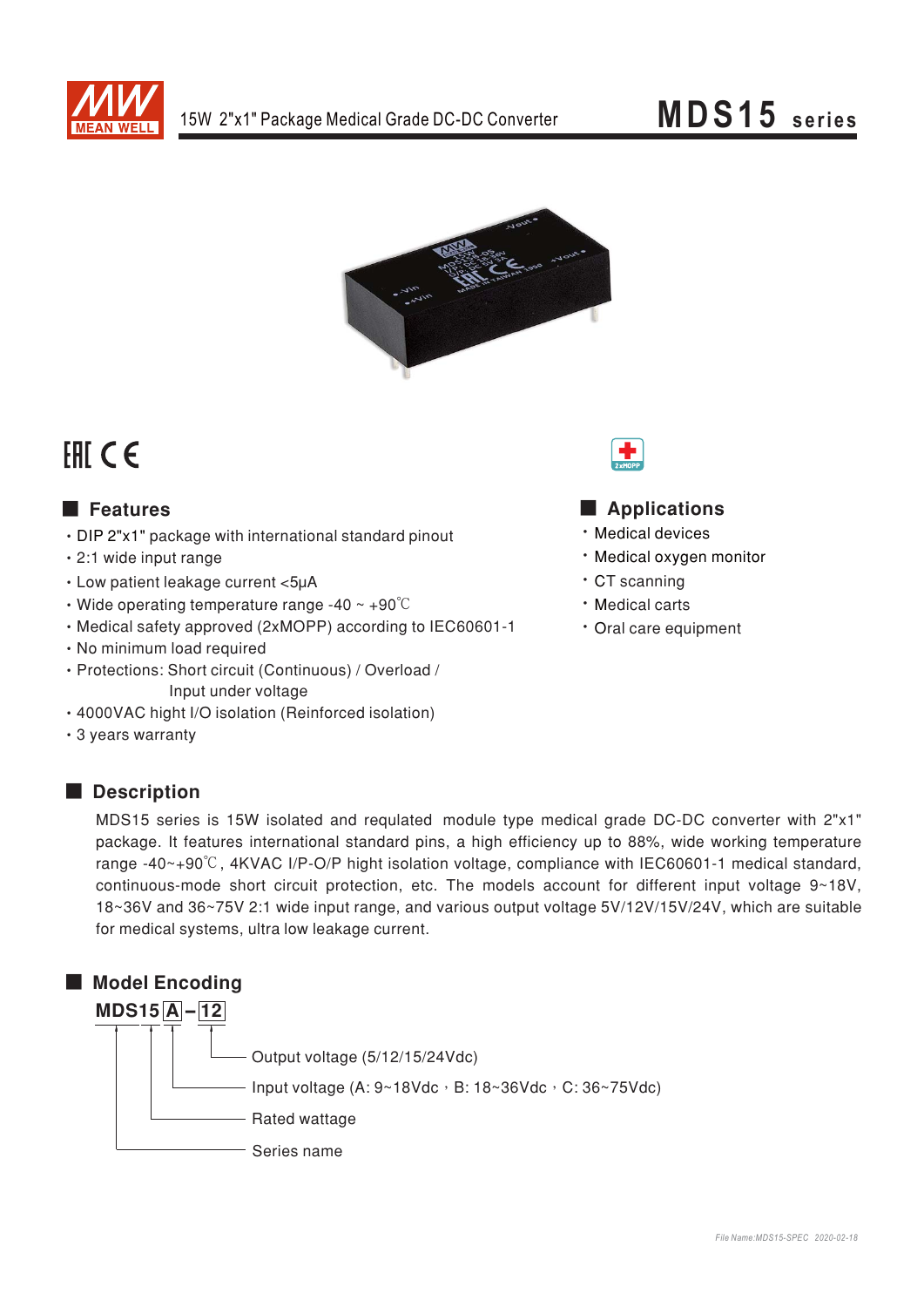

### **MDS15** series



## FHI CE

### **E** Features

- DIP 2"x1" package with international standard pinout
- · 2:1 wide input range
- Low patient leakage current <5µA
- Wide operating temperature range -40  $\sim$  +90 $\degree$ C
- Medical safety approved (2xMOPP) according to IEC60601-1
- · No minimum load required
- · Protections: Short circuit (Continuous) / Overload / Input under voltage
- · 4000VAC hight I/O isolation (Reinforced isolation)
- 3 years warranty

### Description

# Applications

- · Medical devices
- · Medical oxvgen monitor
- · CT scanning
- · Medical carts
- · Oral care equipment

MDS15 series is 15W isolated and requlated module type medical grade DC-DC converter with 2"x1" package. It features international standard pins, a high efficiency up to 88%, wide working temperature range -40~+90°C, 4KVAC I/P-O/P hight isolation voltage, compliance with IEC60601-1 medical standard, continuous-mode short circuit protection, etc. The models account for different input voltage 9~18V, 18~36V and 36~75V 2:1 wide input range, and various output voltage 5V/12V/15V/24V, which are suitable for medical systems, ultra low leakage current.

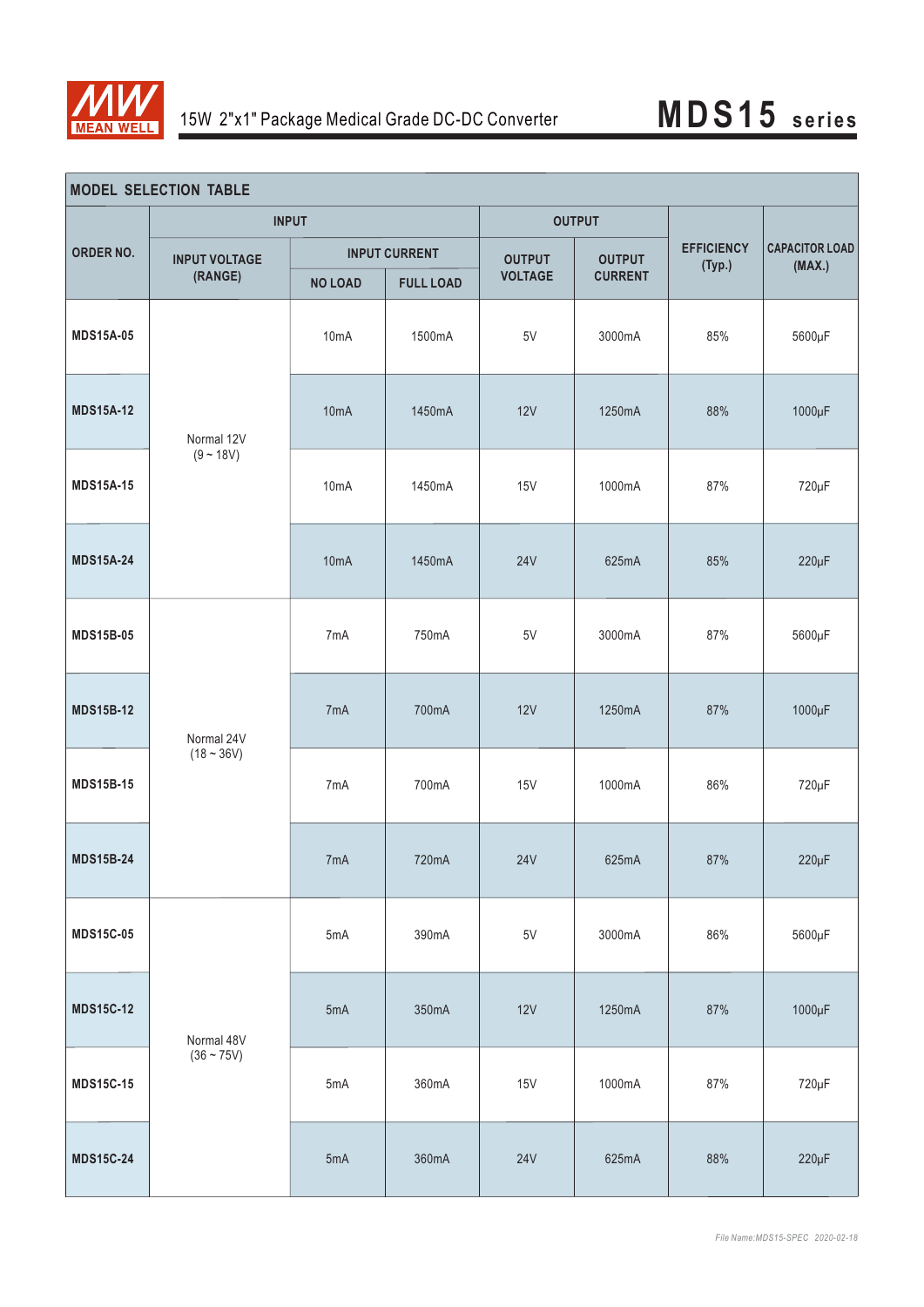

| <b>MODEL SELECTION TABLE</b> |                                 |                      |                  |                |                |                             |                                 |
|------------------------------|---------------------------------|----------------------|------------------|----------------|----------------|-----------------------------|---------------------------------|
| ORDER NO.                    | <b>INPUT</b>                    |                      |                  | <b>OUTPUT</b>  |                |                             |                                 |
|                              | <b>INPUT VOLTAGE</b><br>(RANGE) | <b>INPUT CURRENT</b> |                  | <b>OUTPUT</b>  | <b>OUTPUT</b>  | <b>EFFICIENCY</b><br>(Typ.) | <b>CAPACITOR LOAD</b><br>(MAX.) |
|                              |                                 | <b>NO LOAD</b>       | <b>FULL LOAD</b> | <b>VOLTAGE</b> | <b>CURRENT</b> |                             |                                 |
| <b>MDS15A-05</b>             | Normal 12V<br>$(9 - 18V)$       | 10mA                 | 1500mA           | $5\mathrm{V}$  | 3000mA         | 85%                         | 5600µF                          |
| <b>MDS15A-12</b>             |                                 | 10 <sub>m</sub> A    | 1450mA           | 12V            | 1250mA         | 88%                         | 1000µF                          |
| <b>MDS15A-15</b>             |                                 | 10mA                 | 1450mA           | 15V            | 1000mA         | 87%                         | 720µF                           |
| <b>MDS15A-24</b>             |                                 | 10 <sub>m</sub> A    | 1450mA           | <b>24V</b>     | 625mA          | 85%                         | $220\mu F$                      |
| <b>MDS15B-05</b>             | Normal 24V<br>$(18 - 36V)$      | 7mA                  | 750mA            | 5V             | 3000mA         | 87%                         | 5600µF                          |
| <b>MDS15B-12</b>             |                                 | 7mA                  | 700mA            | 12V            | 1250mA         | 87%                         | 1000µF                          |
| <b>MDS15B-15</b>             |                                 | 7mA                  | 700mA            | 15V            | 1000mA         | 86%                         | 720µF                           |
| <b>MDS15B-24</b>             |                                 | 7 <sub>m</sub> A     | 720mA            | <b>24V</b>     | 625mA          | 87%                         | $220\mu F$                      |
| <b>MDS15C-05</b>             | Normal 48V<br>$(36 - 75V)$      | 5mA                  | 390mA            | $5\mathrm{V}$  | 3000mA         | 86%                         | 5600µF                          |
| <b>MDS15C-12</b>             |                                 | 5mA                  | 350mA            | 12V            | 1250mA         | 87%                         | 1000µF                          |
| <b>MDS15C-15</b>             |                                 | 5mA                  | 360mA            | <b>15V</b>     | 1000mA         | 87%                         | 720µF                           |
| <b>MDS15C-24</b>             |                                 | 5mA                  | 360mA            | <b>24V</b>     | 625mA          | 88%                         | $220\mu F$                      |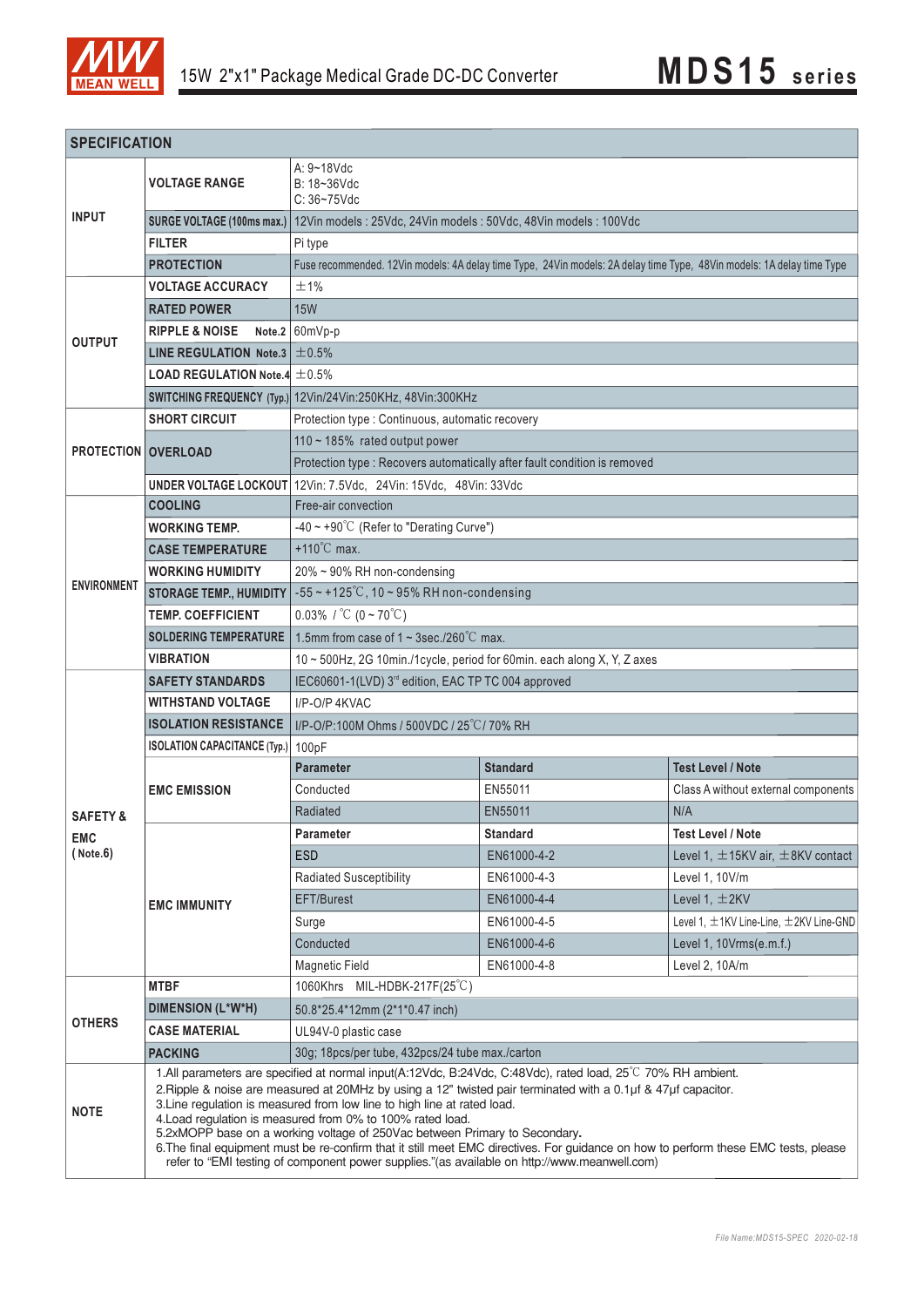

| <b>SPECIFICATION</b>                            |                                                     |                                                                                                                                                                                                                                                                                                                                                                                                                                                                                                                                                                                                                                                                                              |                 |                                                  |  |  |  |  |
|-------------------------------------------------|-----------------------------------------------------|----------------------------------------------------------------------------------------------------------------------------------------------------------------------------------------------------------------------------------------------------------------------------------------------------------------------------------------------------------------------------------------------------------------------------------------------------------------------------------------------------------------------------------------------------------------------------------------------------------------------------------------------------------------------------------------------|-----------------|--------------------------------------------------|--|--|--|--|
|                                                 | <b>VOLTAGE RANGE</b>                                | $A: 9 - 18$ Vdc<br>B: 18~36Vdc<br>$C: 36 - 75$ Vdc                                                                                                                                                                                                                                                                                                                                                                                                                                                                                                                                                                                                                                           |                 |                                                  |  |  |  |  |
| <b>INPUT</b>                                    | SURGE VOLTAGE (100ms max.)                          | 12Vin models: 25Vdc, 24Vin models: 50Vdc, 48Vin models: 100Vdc                                                                                                                                                                                                                                                                                                                                                                                                                                                                                                                                                                                                                               |                 |                                                  |  |  |  |  |
|                                                 | <b>FILTER</b>                                       | Pi type                                                                                                                                                                                                                                                                                                                                                                                                                                                                                                                                                                                                                                                                                      |                 |                                                  |  |  |  |  |
|                                                 | <b>PROTECTION</b>                                   | Fuse recommended. 12Vin models: 4A delay time Type, 24Vin models: 2A delay time Type, 48Vin models: 1A delay time Type                                                                                                                                                                                                                                                                                                                                                                                                                                                                                                                                                                       |                 |                                                  |  |  |  |  |
| <b>OUTPUT</b>                                   | <b>VOLTAGE ACCURACY</b>                             | ±1%                                                                                                                                                                                                                                                                                                                                                                                                                                                                                                                                                                                                                                                                                          |                 |                                                  |  |  |  |  |
|                                                 | <b>RATED POWER</b>                                  | <b>15W</b>                                                                                                                                                                                                                                                                                                                                                                                                                                                                                                                                                                                                                                                                                   |                 |                                                  |  |  |  |  |
|                                                 | <b>RIPPLE &amp; NOISE</b>                           | Note.2 $60mVp-p$                                                                                                                                                                                                                                                                                                                                                                                                                                                                                                                                                                                                                                                                             |                 |                                                  |  |  |  |  |
|                                                 | LINE REGULATION Note.3                              | ±0.5%                                                                                                                                                                                                                                                                                                                                                                                                                                                                                                                                                                                                                                                                                        |                 |                                                  |  |  |  |  |
|                                                 | <b>LOAD REGULATION Note.4 <math>\pm</math> 0.5%</b> |                                                                                                                                                                                                                                                                                                                                                                                                                                                                                                                                                                                                                                                                                              |                 |                                                  |  |  |  |  |
|                                                 |                                                     | SWITCHING FREQUENCY (Typ.) 12Vin/24Vin:250KHz, 48Vin:300KHz                                                                                                                                                                                                                                                                                                                                                                                                                                                                                                                                                                                                                                  |                 |                                                  |  |  |  |  |
|                                                 | <b>SHORT CIRCUIT</b>                                | Protection type : Continuous, automatic recovery                                                                                                                                                                                                                                                                                                                                                                                                                                                                                                                                                                                                                                             |                 |                                                  |  |  |  |  |
|                                                 | <b>PROTECTION OVERLOAD</b>                          | 110 ~ 185% rated output power                                                                                                                                                                                                                                                                                                                                                                                                                                                                                                                                                                                                                                                                |                 |                                                  |  |  |  |  |
|                                                 |                                                     | Protection type : Recovers automatically after fault condition is removed                                                                                                                                                                                                                                                                                                                                                                                                                                                                                                                                                                                                                    |                 |                                                  |  |  |  |  |
|                                                 |                                                     | UNDER VOLTAGE LOCKOUT 12Vin: 7.5Vdc, 24Vin: 15Vdc, 48Vin: 33Vdc                                                                                                                                                                                                                                                                                                                                                                                                                                                                                                                                                                                                                              |                 |                                                  |  |  |  |  |
|                                                 | <b>COOLING</b>                                      | Free-air convection                                                                                                                                                                                                                                                                                                                                                                                                                                                                                                                                                                                                                                                                          |                 |                                                  |  |  |  |  |
|                                                 | <b>WORKING TEMP.</b>                                | -40 ~ +90 $^{\circ}$ C (Refer to "Derating Curve")                                                                                                                                                                                                                                                                                                                                                                                                                                                                                                                                                                                                                                           |                 |                                                  |  |  |  |  |
|                                                 | <b>CASE TEMPERATURE</b>                             | +110 $^{\circ}$ C max.                                                                                                                                                                                                                                                                                                                                                                                                                                                                                                                                                                                                                                                                       |                 |                                                  |  |  |  |  |
|                                                 | <b>WORKING HUMIDITY</b>                             | 20% ~ 90% RH non-condensing                                                                                                                                                                                                                                                                                                                                                                                                                                                                                                                                                                                                                                                                  |                 |                                                  |  |  |  |  |
| <b>ENVIRONMENT</b>                              | <b>STORAGE TEMP., HUMIDITY</b>                      | $-55$ ~ +125°C, 10 ~ 95% RH non-condensing                                                                                                                                                                                                                                                                                                                                                                                                                                                                                                                                                                                                                                                   |                 |                                                  |  |  |  |  |
|                                                 | <b>TEMP. COEFFICIENT</b>                            | 0.03% / $^{\circ}$ C (0 ~ 70 $^{\circ}$ C)                                                                                                                                                                                                                                                                                                                                                                                                                                                                                                                                                                                                                                                   |                 |                                                  |  |  |  |  |
|                                                 | <b>SOLDERING TEMPERATURE</b>                        | 1.5mm from case of $1 \sim 3$ sec./260°C max.                                                                                                                                                                                                                                                                                                                                                                                                                                                                                                                                                                                                                                                |                 |                                                  |  |  |  |  |
|                                                 | <b>VIBRATION</b>                                    | 10 ~ 500Hz, 2G 10min./1cycle, period for 60min. each along X, Y, Z axes                                                                                                                                                                                                                                                                                                                                                                                                                                                                                                                                                                                                                      |                 |                                                  |  |  |  |  |
|                                                 | <b>SAFETY STANDARDS</b>                             | IEC60601-1(LVD) 3 <sup>rd</sup> edition, EAC TP TC 004 approved                                                                                                                                                                                                                                                                                                                                                                                                                                                                                                                                                                                                                              |                 |                                                  |  |  |  |  |
|                                                 | <b>WITHSTAND VOLTAGE</b>                            | I/P-O/P 4KVAC                                                                                                                                                                                                                                                                                                                                                                                                                                                                                                                                                                                                                                                                                |                 |                                                  |  |  |  |  |
|                                                 | <b>ISOLATION RESISTANCE</b>                         | I/P-O/P:100M Ohms / 500VDC / 25°C / 70% RH                                                                                                                                                                                                                                                                                                                                                                                                                                                                                                                                                                                                                                                   |                 |                                                  |  |  |  |  |
|                                                 | <b>ISOLATION CAPACITANCE (Typ.)</b>                 | 100pF                                                                                                                                                                                                                                                                                                                                                                                                                                                                                                                                                                                                                                                                                        |                 |                                                  |  |  |  |  |
|                                                 | <b>EMC EMISSION</b>                                 | <b>Parameter</b>                                                                                                                                                                                                                                                                                                                                                                                                                                                                                                                                                                                                                                                                             | <b>Standard</b> | <b>Test Level / Note</b>                         |  |  |  |  |
| <b>SAFETY &amp;</b><br><b>EMC</b><br>( Note. 6) |                                                     | Conducted                                                                                                                                                                                                                                                                                                                                                                                                                                                                                                                                                                                                                                                                                    | EN55011         | Class A without external components              |  |  |  |  |
|                                                 |                                                     | Radiated                                                                                                                                                                                                                                                                                                                                                                                                                                                                                                                                                                                                                                                                                     | EN55011         | N/A                                              |  |  |  |  |
|                                                 | <b>EMC IMMUNITY</b>                                 | Parameter                                                                                                                                                                                                                                                                                                                                                                                                                                                                                                                                                                                                                                                                                    | <b>Standard</b> | <b>Test Level / Note</b>                         |  |  |  |  |
|                                                 |                                                     | <b>ESD</b>                                                                                                                                                                                                                                                                                                                                                                                                                                                                                                                                                                                                                                                                                   | EN61000-4-2     | Level 1, $\pm$ 15KV air, $\pm$ 8KV contact       |  |  |  |  |
|                                                 |                                                     | <b>Radiated Susceptibility</b>                                                                                                                                                                                                                                                                                                                                                                                                                                                                                                                                                                                                                                                               | EN61000-4-3     | Level 1, 10V/m                                   |  |  |  |  |
|                                                 |                                                     | EFT/Burest                                                                                                                                                                                                                                                                                                                                                                                                                                                                                                                                                                                                                                                                                   | EN61000-4-4     | Level 1, $\pm$ 2KV                               |  |  |  |  |
|                                                 |                                                     | Surge                                                                                                                                                                                                                                                                                                                                                                                                                                                                                                                                                                                                                                                                                        | EN61000-4-5     | Level 1, $\pm$ 1KV Line-Line, $\pm$ 2KV Line-GND |  |  |  |  |
|                                                 |                                                     | Conducted                                                                                                                                                                                                                                                                                                                                                                                                                                                                                                                                                                                                                                                                                    | EN61000-4-6     | Level 1, 10Vrms(e.m.f.)                          |  |  |  |  |
|                                                 |                                                     | <b>Magnetic Field</b>                                                                                                                                                                                                                                                                                                                                                                                                                                                                                                                                                                                                                                                                        | EN61000-4-8     | Level 2, 10A/m                                   |  |  |  |  |
|                                                 | <b>MTBF</b>                                         | 1060Khrs MIL-HDBK-217F(25°C)                                                                                                                                                                                                                                                                                                                                                                                                                                                                                                                                                                                                                                                                 |                 |                                                  |  |  |  |  |
| <b>OTHERS</b>                                   | <b>DIMENSION (L*W*H)</b>                            | 50.8*25.4*12mm (2*1*0.47 inch)                                                                                                                                                                                                                                                                                                                                                                                                                                                                                                                                                                                                                                                               |                 |                                                  |  |  |  |  |
|                                                 | <b>CASE MATERIAL</b>                                | UL94V-0 plastic case                                                                                                                                                                                                                                                                                                                                                                                                                                                                                                                                                                                                                                                                         |                 |                                                  |  |  |  |  |
|                                                 | <b>PACKING</b>                                      | 30g; 18pcs/per tube, 432pcs/24 tube max./carton                                                                                                                                                                                                                                                                                                                                                                                                                                                                                                                                                                                                                                              |                 |                                                  |  |  |  |  |
| <b>NOTE</b>                                     |                                                     | 1.All parameters are specified at normal input(A:12Vdc, B:24Vdc, C:48Vdc), rated load, 25°C 70% RH ambient.<br>2. Ripple & noise are measured at 20MHz by using a 12" twisted pair terminated with a 0.1µf & 47µf capacitor.<br>3. Line regulation is measured from low line to high line at rated load.<br>4. Load regulation is measured from 0% to 100% rated load.<br>5.2xMOPP base on a working voltage of 250Vac between Primary to Secondary.<br>6. The final equipment must be re-confirm that it still meet EMC directives. For guidance on how to perform these EMC tests, please<br>refer to "EMI testing of component power supplies." (as available on http://www.meanwell.com) |                 |                                                  |  |  |  |  |